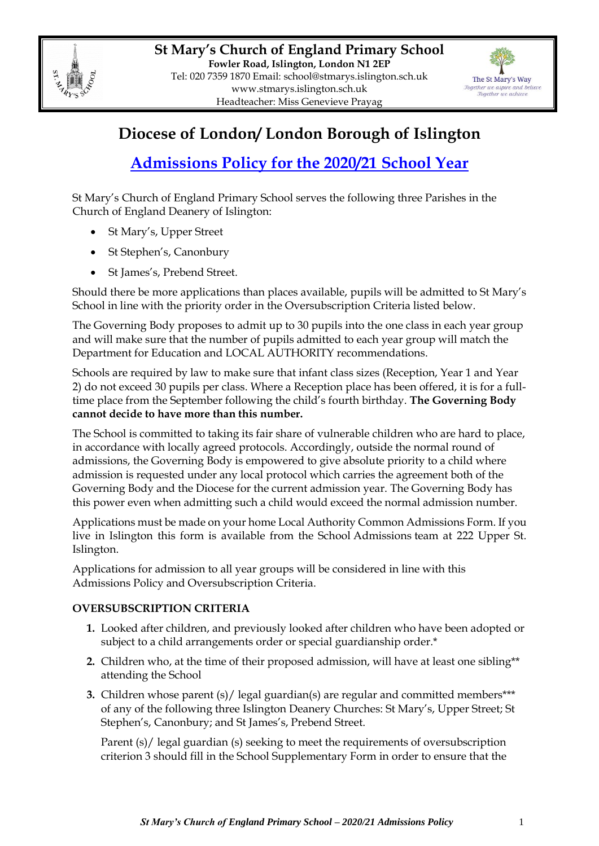



## **Diocese of London/ London Borough of Islington**

# **Admissions Policy for the 2020/21 School Year**

St Mary's Church of England Primary School serves the following three Parishes in the Church of England Deanery of Islington:

- St Mary's, Upper Street
- St Stephen's, Canonbury
- St James's, Prebend Street.

Should there be more applications than places available, pupils will be admitted to St Mary's School in line with the priority order in the Oversubscription Criteria listed below.

The Governing Body proposes to admit up to 30 pupils into the one class in each year group and will make sure that the number of pupils admitted to each year group will match the Department for Education and LOCAL AUTHORITY recommendations.

Schools are required by law to make sure that infant class sizes (Reception, Year 1 and Year 2) do not exceed 30 pupils per class. Where a Reception place has been offered, it is for a fulltime place from the September following the child's fourth birthday. **The Governing Body cannot decide to have more than this number.**

The School is committed to taking its fair share of vulnerable children who are hard to place, in accordance with locally agreed protocols. Accordingly, outside the normal round of admissions, the Governing Body is empowered to give absolute priority to a child where admission is requested under any local protocol which carries the agreement both of the Governing Body and the Diocese for the current admission year. The Governing Body has this power even when admitting such a child would exceed the normal admission number.

Applications must be made on your home Local Authority Common Admissions Form. If you live in Islington this form is available from the School Admissions team at 222 Upper St. Islington.

Applications for admission to all year groups will be considered in line with this Admissions Policy and Oversubscription Criteria.

## **OVERSUBSCRIPTION CRITERIA**

- **1.** Looked after children, and previously looked after children who have been adopted or subject to a child arrangements order or special guardianship order.\*
- **2.** Children who, at the time of their proposed admission, will have at least one sibling\*\* attending the School
- **3.** Children whose parent (s)/ legal guardian(s) are regular and committed members\*\*\* of any of the following three Islington Deanery Churches: St Mary's, Upper Street; St Stephen's, Canonbury; and St James's, Prebend Street.

Parent (s)/ legal guardian (s) seeking to meet the requirements of oversubscription criterion 3 should fill in the School Supplementary Form in order to ensure that the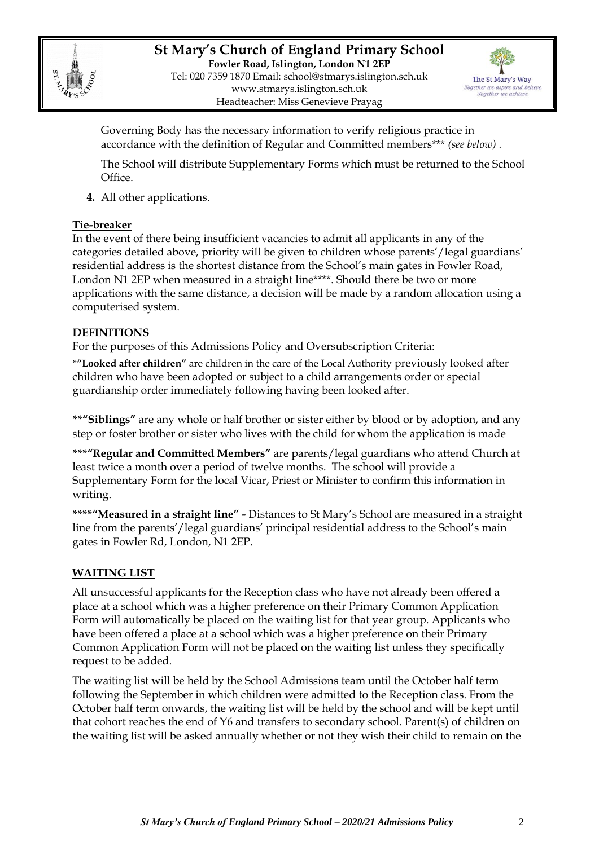



Governing Body has the necessary information to verify religious practice in accordance with the definition of Regular and Committed members\*\*\* *(see below) .*

The School will distribute Supplementary Forms which must be returned to the School Office.

**4.** All other applications.

## **Tie-breaker**

In the event of there being insufficient vacancies to admit all applicants in any of the categories detailed above, priority will be given to children whose parents'/legal guardians' residential address is the shortest distance from the School's main gates in Fowler Road, London N1 2EP when measured in a straight line\*\*\*\*. Should there be two or more applications with the same distance, a decision will be made by a random allocation using a computerised system.

## **DEFINITIONS**

For the purposes of this Admissions Policy and Oversubscription Criteria:

**\*"Looked after children"** are children in the care of the Local Authority previously looked after children who have been adopted or subject to a child arrangements order or special guardianship order immediately following having been looked after.

**\*\*"Siblings"** are any whole or half brother or sister either by blood or by adoption, and any step or foster brother or sister who lives with the child for whom the application is made

**\*\*\*"Regular and Committed Members"** are parents/legal guardians who attend Church at least twice a month over a period of twelve months. The school will provide a Supplementary Form for the local Vicar, Priest or Minister to confirm this information in writing.

**\*\*\*\*"Measured in a straight line" -** Distances to St Mary's School are measured in a straight line from the parents'/legal guardians' principal residential address to the School's main gates in Fowler Rd, London, N1 2EP.

## **WAITING LIST**

All unsuccessful applicants for the Reception class who have not already been offered a place at a school which was a higher preference on their Primary Common Application Form will automatically be placed on the waiting list for that year group. Applicants who have been offered a place at a school which was a higher preference on their Primary Common Application Form will not be placed on the waiting list unless they specifically request to be added.

The waiting list will be held by the School Admissions team until the October half term following the September in which children were admitted to the Reception class. From the October half term onwards, the waiting list will be held by the school and will be kept until that cohort reaches the end of Y6 and transfers to secondary school. Parent(s) of children on the waiting list will be asked annually whether or not they wish their child to remain on the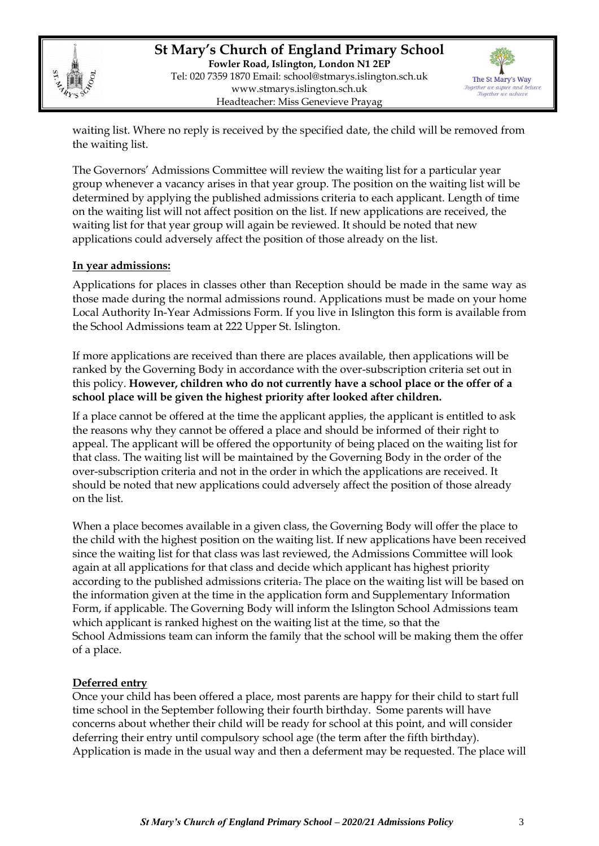

**St Mary's Church of England Primary School Fowler Road, Islington, London N1 2EP** Tel: 020 7359 1870 Email: [school@stmarys.islington.sch.uk](mailto:school@stmarys.islington.sch.uk) [www.stmarys.islington.sch.uk](http://www.stmarys.islington.sch.uk/) Headteacher: Miss Genevieve Prayag



waiting list. Where no reply is received by the specified date, the child will be removed from the waiting list.

The Governors' Admissions Committee will review the waiting list for a particular year group whenever a vacancy arises in that year group. The position on the waiting list will be determined by applying the published admissions criteria to each applicant. Length of time on the waiting list will not affect position on the list. If new applications are received, the waiting list for that year group will again be reviewed. It should be noted that new applications could adversely affect the position of those already on the list.

#### **In year admissions:**

Applications for places in classes other than Reception should be made in the same way as those made during the normal admissions round. Applications must be made on your home Local Authority In-Year Admissions Form. If you live in Islington this form is available from the School Admissions team at 222 Upper St. Islington.

If more applications are received than there are places available, then applications will be ranked by the Governing Body in accordance with the over-subscription criteria set out in this policy. **However, children who do not currently have a school place or the offer of a school place will be given the highest priority after looked after children.** 

If a place cannot be offered at the time the applicant applies, the applicant is entitled to ask the reasons why they cannot be offered a place and should be informed of their right to appeal. The applicant will be offered the opportunity of being placed on the waiting list for that class. The waiting list will be maintained by the Governing Body in the order of the over-subscription criteria and not in the order in which the applications are received. It should be noted that new applications could adversely affect the position of those already on the list.

When a place becomes available in a given class, the Governing Body will offer the place to the child with the highest position on the waiting list. If new applications have been received since the waiting list for that class was last reviewed, the Admissions Committee will look again at all applications for that class and decide which applicant has highest priority according to the published admissions criteria. The place on the waiting list will be based on the information given at the time in the application form and Supplementary Information Form, if applicable. The Governing Body will inform the Islington School Admissions team which applicant is ranked highest on the waiting list at the time, so that the School Admissions team can inform the family that the school will be making them the offer of a place.

#### **Deferred entry**

Once your child has been offered a place, most parents are happy for their child to start full time school in the September following their fourth birthday. Some parents will have concerns about whether their child will be ready for school at this point, and will consider deferring their entry until compulsory school age (the term after the fifth birthday). Application is made in the usual way and then a deferment may be requested. The place will